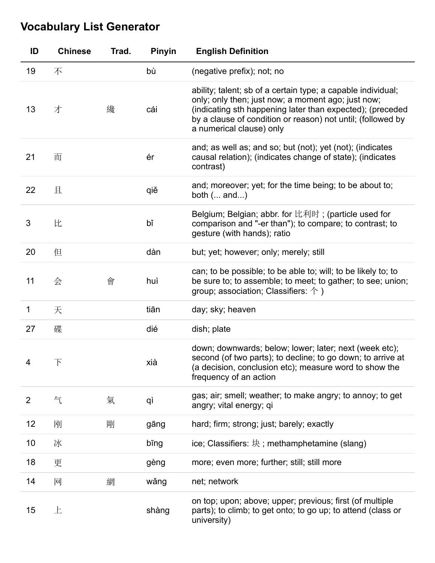## Vocabulary List Generator

| ID             | <b>Chinese</b> | Trad. | <b>Pinyin</b> | <b>English Definition</b>                                                                                                                                                                                                                                                  |
|----------------|----------------|-------|---------------|----------------------------------------------------------------------------------------------------------------------------------------------------------------------------------------------------------------------------------------------------------------------------|
| 19             | 不              |       | bù            | (negative prefix); not; no                                                                                                                                                                                                                                                 |
| 13             | 才              | 纔     | cái           | ability; talent; sb of a certain type; a capable individual;<br>only; only then; just now; a moment ago; just now;<br>(indicating sth happening later than expected); (preceded<br>by a clause of condition or reason) not until; (followed by<br>a numerical clause) only |
| 21             | 而              |       | ér            | and; as well as; and so; but (not); yet (not); (indicates<br>causal relation); (indicates change of state); (indicates<br>contrast)                                                                                                                                        |
| 22             | 且              |       | qiě           | and; moreover; yet; for the time being; to be about to;<br>both $($ and $$ )                                                                                                                                                                                               |
| 3              | 比              |       | bĭ            | Belgium; Belgian; abbr. for 比利时; (particle used for<br>comparison and "-er than"); to compare; to contrast; to<br>gesture (with hands); ratio                                                                                                                              |
| 20             | 但              |       | dàn           | but; yet; however; only; merely; still                                                                                                                                                                                                                                     |
| 11             | 会              | 會     | huì           | can; to be possible; to be able to; will; to be likely to; to<br>be sure to; to assemble; to meet; to gather; to see; union;<br>group; association; Classifiers: $\uparrow$ )                                                                                              |
| 1              | 天              |       | tiān          | day; sky; heaven                                                                                                                                                                                                                                                           |
| 27             | 碟              |       | dié           | dish; plate                                                                                                                                                                                                                                                                |
| 4              | 下              |       | xià           | down; downwards; below; lower; later; next (week etc);<br>second (of two parts); to decline; to go down; to arrive at<br>(a decision, conclusion etc); measure word to show the<br>frequency of an action                                                                  |
| $\overline{2}$ | 气              | 氣     | qì            | gas; air; smell; weather; to make angry; to annoy; to get<br>angry; vital energy; qi                                                                                                                                                                                       |
| 12             | 刚              | 剛     | gāng          | hard; firm; strong; just; barely; exactly                                                                                                                                                                                                                                  |
| 10             | 冰              |       | bīng          | ice; Classifiers: 块; methamphetamine (slang)                                                                                                                                                                                                                               |
| 18             | 更              |       | gèng          | more; even more; further; still; still more                                                                                                                                                                                                                                |
| 14             | 网              | 網     | wǎng          | net; network                                                                                                                                                                                                                                                               |
| 15             | 上              |       | shàng         | on top; upon; above; upper; previous; first (of multiple<br>parts); to climb; to get onto; to go up; to attend (class or<br>university)                                                                                                                                    |